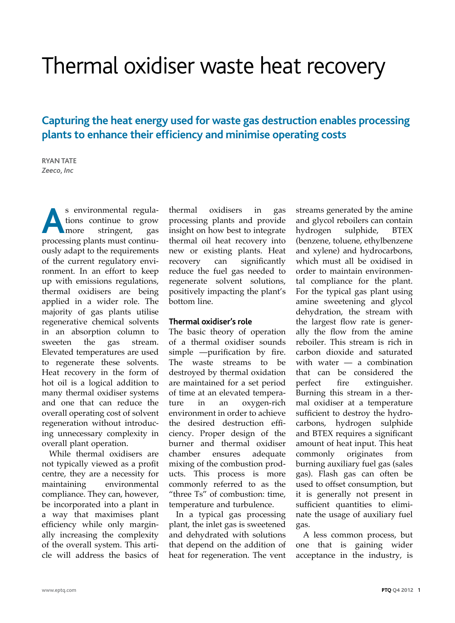# Thermal oxidiser waste heat recovery

# **Capturing the heat energy used for waste gas destruction enables processing plants to enhance their efficiency and minimise operating costs**

**RYAN TATE** *Zeeco, Inc*

s environmental regulations continue to grow<br>**A**more stringent, gas tions continue to grow stringent, processing plants must continuously adapt to the requirements of the current regulatory environment. In an effort to keep up with emissions regulations, thermal oxidisers are being applied in a wider role. The majority of gas plants utilise regenerative chemical solvents in an absorption column to<br>sweeten the gas stream. gas stream. Elevated temperatures are used to regenerate these solvents. Heat recovery in the form of hot oil is a logical addition to many thermal oxidiser systems and one that can reduce the overall operating cost of solvent regeneration without introducing unnecessary complexity in overall plant operation.

While thermal oxidisers are not typically viewed as a profit centre, they are a necessity for maintaining environmental compliance. They can, however, be incorporated into a plant in a way that maximises plant efficiency while only marginally increasing the complexity of the overall system. This article will address the basics of

thermal oxidisers in gas processing plants and provide insight on how best to integrate thermal oil heat recovery into new or existing plants. Heat recovery can significantly reduce the fuel gas needed to regenerate solvent solutions, positively impacting the plant's bottom line.

#### **Thermal oxidiser's role**

The basic theory of operation of a thermal oxidiser sounds simple —purification by fire. The waste streams to be destroyed by thermal oxidation are maintained for a set period of time at an elevated tempera-<br>ture in an oxygen-rich ture in an oxygen-rich environment in order to achieve the desired destruction efficiency. Proper design of the burner and thermal oxidiser chamber ensures adequate mixing of the combustion products. This process is more commonly referred to as the "three Ts" of combustion: time, temperature and turbulence.

In a typical gas processing plant, the inlet gas is sweetened and dehydrated with solutions that depend on the addition of heat for regeneration. The vent streams generated by the amine and glycol reboilers can contain<br>hydrogen sulphide, BTEX hydrogen sulphide, BTEX (benzene, toluene, ethylbenzene and xylene) and hydrocarbons, which must all be oxidised in order to maintain environmental compliance for the plant. For the typical gas plant using amine sweetening and glycol dehydration, the stream with the largest flow rate is generally the flow from the amine reboiler. This stream is rich in carbon dioxide and saturated with water — a combination that can be considered the perfect fire extinguisher. Burning this stream in a thermal oxidiser at a temperature sufficient to destroy the hydrocarbons, hydrogen sulphide and BTEX requires a significant amount of heat input. This heat commonly originates from burning auxiliary fuel gas (sales gas). Flash gas can often be used to offset consumption, but it is generally not present in sufficient quantities to eliminate the usage of auxiliary fuel gas.

A less common process, but one that is gaining wider acceptance in the industry, is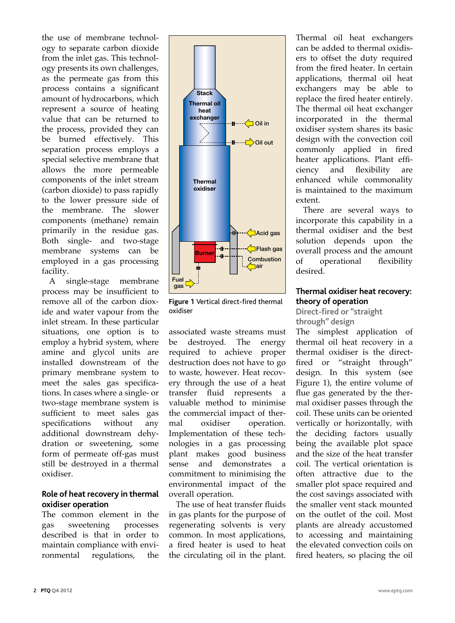the use of membrane technology to separate carbon dioxide from the inlet gas. This technology presents its own challenges, as the permeate gas from this process contains a significant amount of hydrocarbons, which represent a source of heating value that can be returned to the process, provided they can be burned effectively. This separation process employs a special selective membrane that allows the more permeable components of the inlet stream (carbon dioxide) to pass rapidly to the lower pressure side of the membrane. The slower components (methane) remain primarily in the residue gas. Both single- and two-stage membrane systems can be employed in a gas processing facility.

A single-stage membrane process may be insufficient to remove all of the carbon dioxide and water vapour from the inlet stream. In these particular situations, one option is to employ a hybrid system, where amine and glycol units are installed downstream of the primary membrane system to meet the sales gas specifications. In cases where a single- or two-stage membrane system is sufficient to meet sales gas specifications without any additional downstream dehydration or sweetening, some form of permeate off-gas must still be destroyed in a thermal oxidiser.

#### **Role of heat recovery in thermal oxidiser operation**

The common element in the gas sweetening processes described is that in order to maintain compliance with environmental regulations, the



**Figure 1** Vertical direct-fired thermal oxidiser

associated waste streams must<br>be destroyed. The energy be destroyed. The energy required to achieve proper destruction does not have to go to waste, however. Heat recovery through the use of a heat transfer fluid represents a valuable method to minimise the commercial impact of thermal oxidiser operation. Implementation of these technologies in a gas processing plant makes good business sense and demonstrates a commitment to minimising the environmental impact of the overall operation.

The use of heat transfer fluids in gas plants for the purpose of regenerating solvents is very common. In most applications, a fired heater is used to heat the circulating oil in the plant.

Thermal oil heat exchangers can be added to thermal oxidisers to offset the duty required from the fired heater. In certain applications, thermal oil heat exchangers may be able to replace the fired heater entirely. The thermal oil heat exchanger incorporated in the thermal oxidiser system shares its basic design with the convection coil commonly applied in fired heater applications. Plant effi-<br>ciency and flexibility are ciency and flexibility are enhanced while commonality is maintained to the maximum extent.

There are several ways to incorporate this capability in a thermal oxidiser and the best solution depends upon the overall process and the amount of operational flexibility desired.

# **Thermal oxidiser heat recovery: theory of operation**

**Direct-fired or "straight through" design**

The simplest application of thermal oil heat recovery in a thermal oxidiser is the directfired or "straight through" design. In this system (see Figure 1), the entire volume of flue gas generated by the thermal oxidiser passes through the coil. These units can be oriented vertically or horizontally, with the deciding factors usually being the available plot space and the size of the heat transfer coil. The vertical orientation is often attractive due to the smaller plot space required and the cost savings associated with the smaller vent stack mounted on the outlet of the coil. Most plants are already accustomed to accessing and maintaining the elevated convection coils on fired heaters, so placing the oil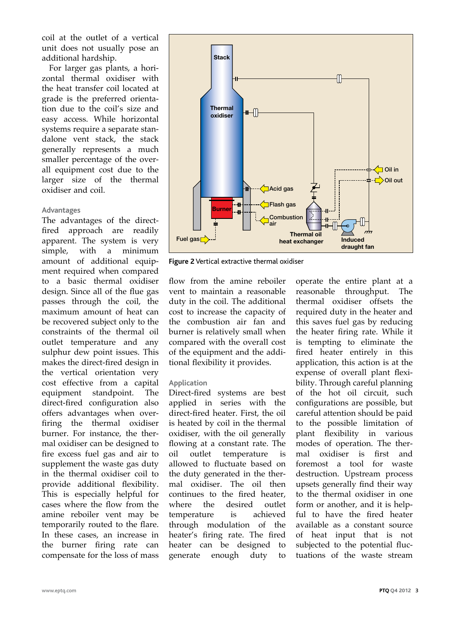coil at the outlet of a vertical unit does not usually pose an additional hardship.

For larger gas plants, a horizontal thermal oxidiser with the heat transfer coil located at grade is the preferred orientation due to the coil's size and easy access. While horizontal systems require a separate standalone vent stack, the stack generally represents a much smaller percentage of the overall equipment cost due to the larger size of the thermal oxidiser and coil.

#### **Advantages**

The advantages of the directfired approach are readily apparent. The system is very<br>simple, with a minimum simple, with a minimum amount of additional equipment required when compared to a basic thermal oxidiser design. Since all of the flue gas passes through the coil, the maximum amount of heat can be recovered subject only to the constraints of the thermal oil outlet temperature and any sulphur dew point issues. This makes the direct-fired design in the vertical orientation very cost effective from a capital equipment standpoint. The direct-fired configuration also offers advantages when overfiring the thermal oxidiser burner. For instance, the thermal oxidiser can be designed to fire excess fuel gas and air to supplement the waste gas duty in the thermal oxidiser coil to provide additional flexibility. This is especially helpful for cases where the flow from the amine reboiler vent may be temporarily routed to the flare. In these cases, an increase in the burner firing rate can compensate for the loss of mass



**Figure 2** Vertical extractive thermal oxidiser

flow from the amine reboiler vent to maintain a reasonable duty in the coil. The additional cost to increase the capacity of the combustion air fan and burner is relatively small when compared with the overall cost of the equipment and the additional flexibility it provides.

#### **Application**

Direct-fired systems are best applied in series with the direct-fired heater. First, the oil is heated by coil in the thermal oxidiser, with the oil generally flowing at a constant rate. The oil outlet temperature is allowed to fluctuate based on the duty generated in the thermal oxidiser. The oil then continues to the fired heater, where the desired outlet temperature is achieved through modulation of the heater's firing rate. The fired heater can be designed to generate enough duty to operate the entire plant at a reasonable throughput. thermal oxidiser offsets the required duty in the heater and this saves fuel gas by reducing the heater firing rate. While it is tempting to eliminate the fired heater entirely in this application, this action is at the expense of overall plant flexibility. Through careful planning of the hot oil circuit, such configurations are possible, but careful attention should be paid to the possible limitation of plant flexibility in various modes of operation. The thermal oxidiser is first and foremost a tool for waste destruction. Upstream process upsets generally find their way to the thermal oxidiser in one form or another, and it is helpful to have the fired heater available as a constant source of heat input that is not subjected to the potential fluctuations of the waste stream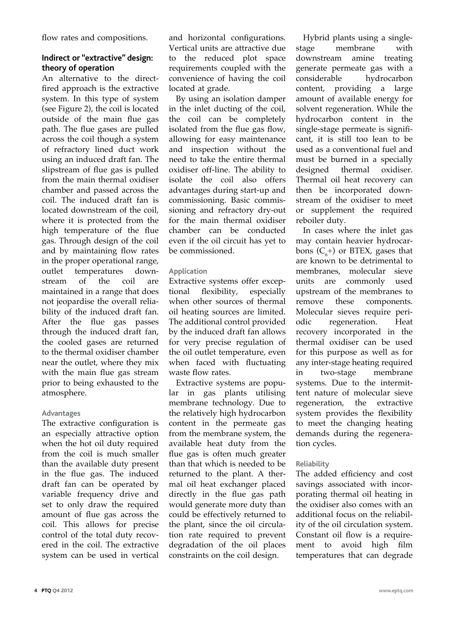flow rates and compositions.

# **Indirect or "extractive" design: theory of operation**

An alternative to the directfired approach is the extractive system. In this type of system (see Figure 2), the coil is located outside of the main flue gas path. The flue gases are pulled across the coil though a system of refractory lined duct work using an induced draft fan. The slipstream of flue gas is pulled from the main thermal oxidiser chamber and passed across the coil. The induced draft fan is located downstream of the coil, where it is protected from the high temperature of the flue gas. Through design of the coil and by maintaining flow rates in the proper operational range,<br>outlet temperatures downtemperatures do<br>of the coil stream of the coil are maintained in a range that does not jeopardise the overall reliability of the induced draft fan. After the flue gas passes through the induced draft fan, the cooled gases are returned to the thermal oxidiser chamber near the outlet, where they mix with the main flue gas stream prior to being exhausted to the atmosphere.

# **Advantages**

The extractive configuration is an especially attractive option when the hot oil duty required from the coil is much smaller than the available duty present in the flue gas. The induced draft fan can be operated by variable frequency drive and set to only draw the required amount of flue gas across the coil. This allows for precise control of the total duty recovered in the coil. The extractive system can be used in vertical

and horizontal configurations. Vertical units are attractive due to the reduced plot space requirements coupled with the convenience of having the coil located at grade.

By using an isolation damper in the inlet ducting of the coil, the coil can be completely isolated from the flue gas flow, allowing for easy maintenance and inspection without the need to take the entire thermal oxidiser off-line. The ability to isolate the coil also offers advantages during start-up and commissioning. Basic commissioning and refractory dry-out for the main thermal oxidiser chamber can be conducted even if the oil circuit has yet to be commissioned.

# **Application**

Extractive systems offer exceptional flexibility, especially flexibility, when other sources of thermal oil heating sources are limited. The additional control provided by the induced draft fan allows for very precise regulation of the oil outlet temperature, even when faced with fluctuating waste flow rates.

Extractive systems are popular in gas plants utilising membrane technology. Due to the relatively high hydrocarbon content in the permeate gas from the membrane system, the available heat duty from the flue gas is often much greater than that which is needed to be returned to the plant. A thermal oil heat exchanger placed directly in the flue gas path would generate more duty than could be effectively returned to the plant, since the oil circulation rate required to prevent degradation of the oil places constraints on the coil design.

Hybrid plants using a singlestage membrane with<br>downstream amine treating downstream generate permeate gas with a hydrocarbon content, providing a large amount of available energy for solvent regeneration. While the hydrocarbon content in the single-stage permeate is significant, it is still too lean to be used as a conventional fuel and must be burned in a specially<br>designed thermal oxidiser. designed Thermal oil heat recovery can then be incorporated downstream of the oxidiser to meet or supplement the required reboiler duty.

In cases where the inlet gas may contain heavier hydrocarbons  $(C_6^+)$  or BTEX, gases that are known to be detrimental to membranes, molecular sieve units are commonly used upstream of the membranes to<br>remove these components. remove these components. Molecular sieves require peri-<br>
odic regeneration. Heat regeneration. recovery incorporated in the thermal oxidiser can be used for this purpose as well as for any inter-stage heating required in two-stage membrane systems. Due to the intermittent nature of molecular sieve regeneration, the extractive system provides the flexibility to meet the changing heating demands during the regeneration cycles.

# **Reliability**

The added efficiency and cost savings associated with incorporating thermal oil heating in the oxidiser also comes with an additional focus on the reliability of the oil circulation system. Constant oil flow is a requirement to avoid high film temperatures that can degrade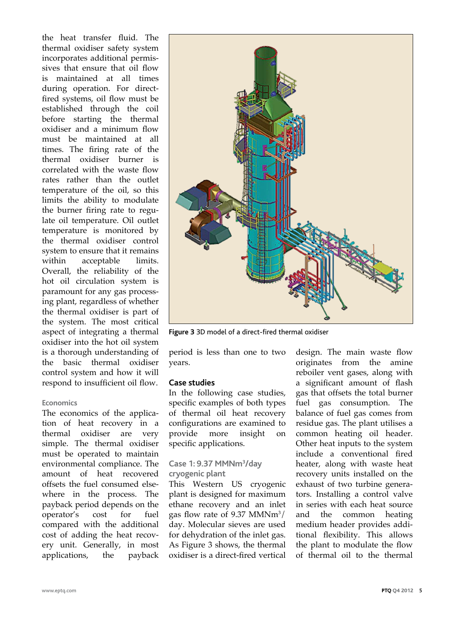the heat transfer fluid. The thermal oxidiser safety system incorporates additional permissives that ensure that oil flow is maintained at all times during operation. For directfired systems, oil flow must be established through the coil before starting the thermal oxidiser and a minimum flow must be maintained at all times. The firing rate of the thermal oxidiser burner is correlated with the waste flow rates rather than the outlet temperature of the oil, so this limits the ability to modulate the burner firing rate to regulate oil temperature. Oil outlet temperature is monitored by the thermal oxidiser control system to ensure that it remains within acceptable limits. Overall, the reliability of the hot oil circulation system is paramount for any gas processing plant, regardless of whether the thermal oxidiser is part of the system. The most critical aspect of integrating a thermal oxidiser into the hot oil system is a thorough understanding of the basic thermal oxidiser control system and how it will respond to insufficient oil flow.

#### **Economics**

The economics of the application of heat recovery in a thermal oxidiser are very simple. The thermal oxidiser must be operated to maintain environmental compliance. The amount of heat recovered offsets the fuel consumed elsewhere in the process. The payback period depends on the operator's cost for fuel compared with the additional cost of adding the heat recovery unit. Generally, in most applications, the payback



**Figure 3** 3D model of a direct-fired thermal oxidiser

period is less than one to two years.

#### **Case studies**

In the following case studies, specific examples of both types of thermal oil heat recovery configurations are examined to provide more insight on specific applications.

# **Case 1: 9.37 MMNm3 /day cryogenic plant**

This Western US cryogenic plant is designed for maximum ethane recovery and an inlet gas flow rate of 9.37  $M/MNm^3/$ day. Molecular sieves are used for dehydration of the inlet gas. As Figure 3 shows, the thermal oxidiser is a direct-fired vertical design. The main waste flow originates from the amine reboiler vent gases, along with a significant amount of flash gas that offsets the total burner fuel gas consumption. The balance of fuel gas comes from residue gas. The plant utilises a common heating oil header. Other heat inputs to the system include a conventional fired heater, along with waste heat recovery units installed on the exhaust of two turbine generators. Installing a control valve in series with each heat source and the common heating medium header provides additional flexibility. This allows the plant to modulate the flow of thermal oil to the thermal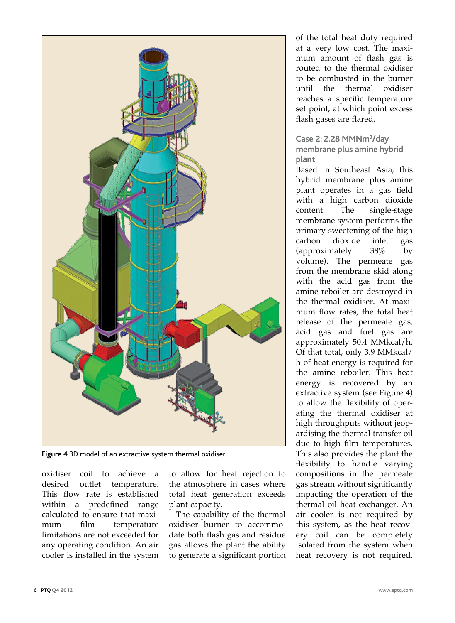

**Figure 4** 3D model of an extractive system thermal oxidiser

oxidiser coil to achieve a desired outlet temperature. This flow rate is established within a predefined range calculated to ensure that maximum film temperature limitations are not exceeded for any operating condition. An air cooler is installed in the system

to allow for heat rejection to the atmosphere in cases where total heat generation exceeds plant capacity.

The capability of the thermal oxidiser burner to accommodate both flash gas and residue gas allows the plant the ability to generate a significant portion of the total heat duty required at a very low cost. The maximum amount of flash gas is routed to the thermal oxidiser to be combusted in the burner until the thermal oxidiser reaches a specific temperature set point, at which point excess flash gases are flared.

# **Case 2: 2.28 MMNm3 /day membrane plus amine hybrid plant**

Based in Southeast Asia, this hybrid membrane plus amine plant operates in a gas field with a high carbon dioxide<br>content. The single-stage single-stage membrane system performs the primary sweetening of the high<br>carbon dioxide inlet gas dioxide inlet<br>
nately 38% (approximately 38% by volume). The permeate gas from the membrane skid along with the acid gas from the amine reboiler are destroyed in the thermal oxidiser. At maximum flow rates, the total heat release of the permeate gas, acid gas and fuel gas are approximately 50.4 MMkcal/h. Of that total, only 3.9 MMkcal/ h of heat energy is required for the amine reboiler. This heat energy is recovered by an extractive system (see Figure 4) to allow the flexibility of operating the thermal oxidiser at high throughputs without jeopardising the thermal transfer oil due to high film temperatures. This also provides the plant the flexibility to handle varying compositions in the permeate gas stream without significantly impacting the operation of the thermal oil heat exchanger. An air cooler is not required by this system, as the heat recovery coil can be completely isolated from the system when heat recovery is not required.